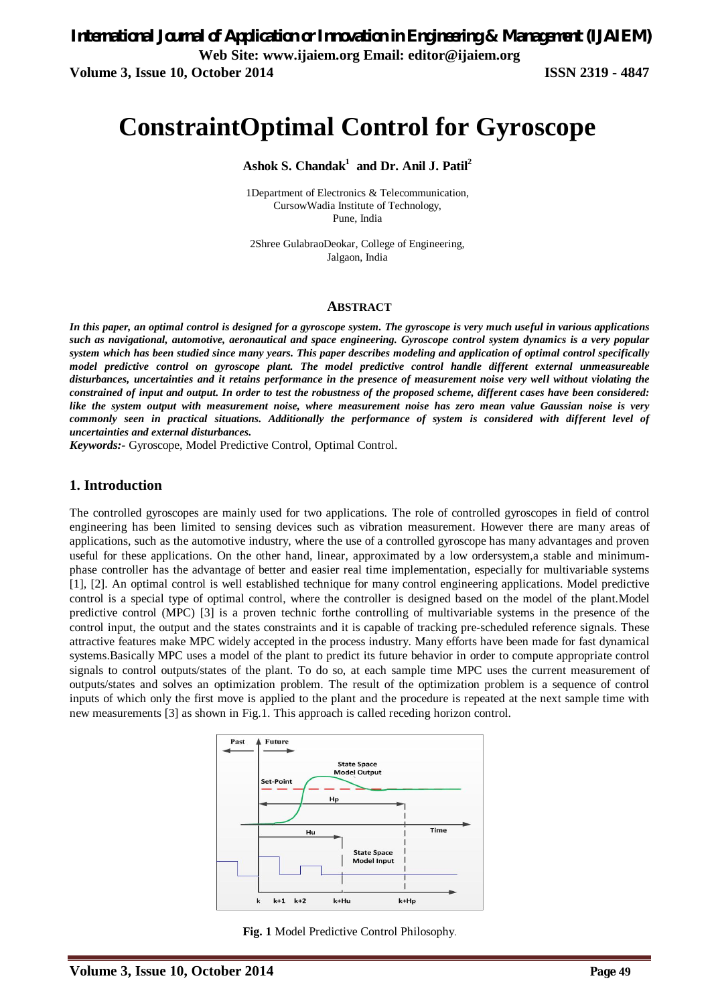# **ConstraintOptimal Control for Gyroscope**

**Ashok S. Chandak<sup>1</sup> and Dr. Anil J. Patil<sup>2</sup>**

1Department of Electronics & Telecommunication, CursowWadia Institute of Technology, Pune, India

2Shree GulabraoDeokar, College of Engineering, Jalgaon, India

#### **ABSTRACT**

*In this paper, an optimal control is designed for a gyroscope system. The gyroscope is very much useful in various applications such as navigational, automotive, aeronautical and space engineering. Gyroscope control system dynamics is a very popular system which has been studied since many years. This paper describes modeling and application of optimal control specifically model predictive control on gyroscope plant. The model predictive control handle different external unmeasureable disturbances, uncertainties and it retains performance in the presence of measurement noise very well without violating the constrained of input and output. In order to test the robustness of the proposed scheme, different cases have been considered: like the system output with measurement noise, where measurement noise has zero mean value Gaussian noise is very commonly seen in practical situations. Additionally the performance of system is considered with different level of uncertainties and external disturbances.*

*Keywords:-* Gyroscope, Model Predictive Control, Optimal Control.

#### **1. Introduction**

The controlled gyroscopes are mainly used for two applications. The role of controlled gyroscopes in field of control engineering has been limited to sensing devices such as vibration measurement. However there are many areas of applications, such as the automotive industry, where the use of a controlled gyroscope has many advantages and proven useful for these applications. On the other hand, linear, approximated by a low ordersystem,a stable and minimumphase controller has the advantage of better and easier real time implementation, especially for multivariable systems [1], [2]. An optimal control is well established technique for many control engineering applications. Model predictive control is a special type of optimal control, where the controller is designed based on the model of the plant.Model predictive control (MPC) [3] is a proven technic forthe controlling of multivariable systems in the presence of the control input, the output and the states constraints and it is capable of tracking pre-scheduled reference signals. These attractive features make MPC widely accepted in the process industry. Many efforts have been made for fast dynamical systems.Basically MPC uses a model of the plant to predict its future behavior in order to compute appropriate control signals to control outputs/states of the plant. To do so, at each sample time MPC uses the current measurement of outputs/states and solves an optimization problem. The result of the optimization problem is a sequence of control inputs of which only the first move is applied to the plant and the procedure is repeated at the next sample time with new measurements [3] as shown in Fig.1. This approach is called receding horizon control.



**Fig. 1** Model Predictive Control Philosophy.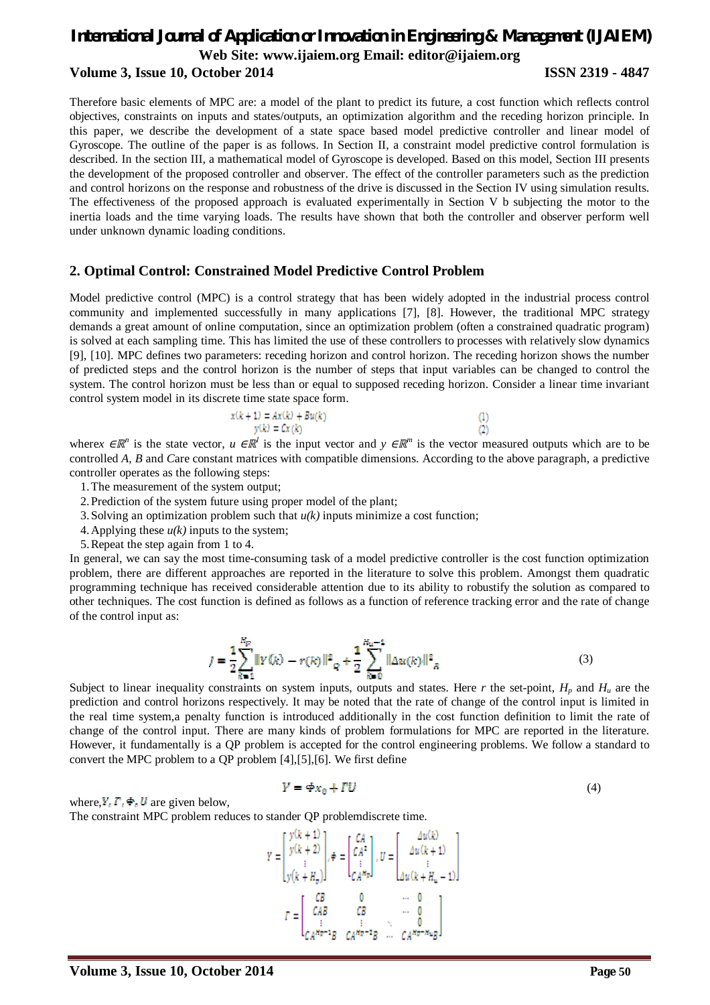Therefore basic elements of MPC are: a model of the plant to predict its future, a cost function which reflects control objectives, constraints on inputs and states/outputs, an optimization algorithm and the receding horizon principle. In this paper, we describe the development of a state space based model predictive controller and linear model of Gyroscope. The outline of the paper is as follows. In Section II, a constraint model predictive control formulation is described. In the section III, a mathematical model of Gyroscope is developed. Based on this model, Section III presents the development of the proposed controller and observer. The effect of the controller parameters such as the prediction and control horizons on the response and robustness of the drive is discussed in the Section IV using simulation results. The effectiveness of the proposed approach is evaluated experimentally in Section V b subjecting the motor to the inertia loads and the time varying loads. The results have shown that both the controller and observer perform well under unknown dynamic loading conditions.

#### **2. Optimal Control: Constrained Model Predictive Control Problem**

Model predictive control (MPC) is a control strategy that has been widely adopted in the industrial process control community and implemented successfully in many applications [7], [8]. However, the traditional MPC strategy demands a great amount of online computation, since an optimization problem (often a constrained quadratic program) is solved at each sampling time. This has limited the use of these controllers to processes with relatively slow dynamics [9], [10]. MPC defines two parameters: receding horizon and control horizon. The receding horizon shows the number of predicted steps and the control horizon is the number of steps that input variables can be changed to control the system. The control horizon must be less than or equal to supposed receding horizon. Consider a linear time invariant control system model in its discrete time state space form.

$$
x(k + 1) = Ax(k) + Bu(k)
$$
  

$$
y(k) = Cx(k)
$$

wherex  $\in \mathbb{R}^n$  is the state vector,  $u \in \mathbb{R}^l$  is the input vector and  $y \in \mathbb{R}^m$  is the vector measured outputs which are to be controlled *A, B* and *C*are constant matrices with compatible dimensions. According to the above paragraph, a predictive controller operates as the following steps:

- 1.The measurement of the system output;
- 2.Prediction of the system future using proper model of the plant;
- 3.Solving an optimization problem such that *u(k)* inputs minimize a cost function;
- 4. Applying these  $u(k)$  inputs to the system;
- 5.Repeat the step again from 1 to 4.

In general, we can say the most time-consuming task of a model predictive controller is the cost function optimization problem, there are different approaches are reported in the literature to solve this problem. Amongst them quadratic programming technique has received considerable attention due to its ability to robustify the solution as compared to other techniques. The cost function is defined as follows as a function of reference tracking error and the rate of change of the control input as:

$$
J = \frac{1}{2} \sum_{k=1}^{N_p} ||Y(k) - r(k)||^2 \frac{1}{2} \sum_{k=0}^{N_u - 1} ||\Delta u(k)||^2 \frac{1}{2}
$$
 (3)

Subject to linear inequality constraints on system inputs, outputs and states. Here r the set-point,  $H_p$  and  $H_u$  are the prediction and control horizons respectively. It may be noted that the rate of change of the control input is limited in the real time system,a penalty function is introduced additionally in the cost function definition to limit the rate of change of the control input. There are many kinds of problem formulations for MPC are reported in the literature. However, it fundamentally is a QP problem is accepted for the control engineering problems. We follow a standard to convert the MPC problem to a QP problem [4],[5],[6]. We first define

$$
Y = \Phi x_0 + TU \tag{4}
$$

 $\left(1\right)$  $(2)$ 

where,  $Y_i \, \Gamma_i \, \Phi_i \, U$  are given below,

The constraint MPC problem reduces to stander QP problemdiscrete time.

$$
Y = \begin{bmatrix} y(k+1) \\ y(k+2) \\ \vdots \\ y(k+H_p) \end{bmatrix}, \phi = \begin{bmatrix} CA \\ CA^2 \\ \vdots \\ CA^m \end{bmatrix}, U = \begin{bmatrix} \Delta u(k) \\ \Delta u(k+1) \\ \vdots \\ \Delta u(k+H_u - 1) \end{bmatrix}
$$

$$
T = \begin{bmatrix} CB & 0 & \cdots & 0 \\ CAB & CB & \cdots & 0 \\ \vdots & \vdots & \ddots & 0 \\ CA^{m-1}B & CB & \cdots & 0 \\ CA^{m-2}B & \Delta u^{m-2}B & \cdots & CA^{m-2m} \end{bmatrix}
$$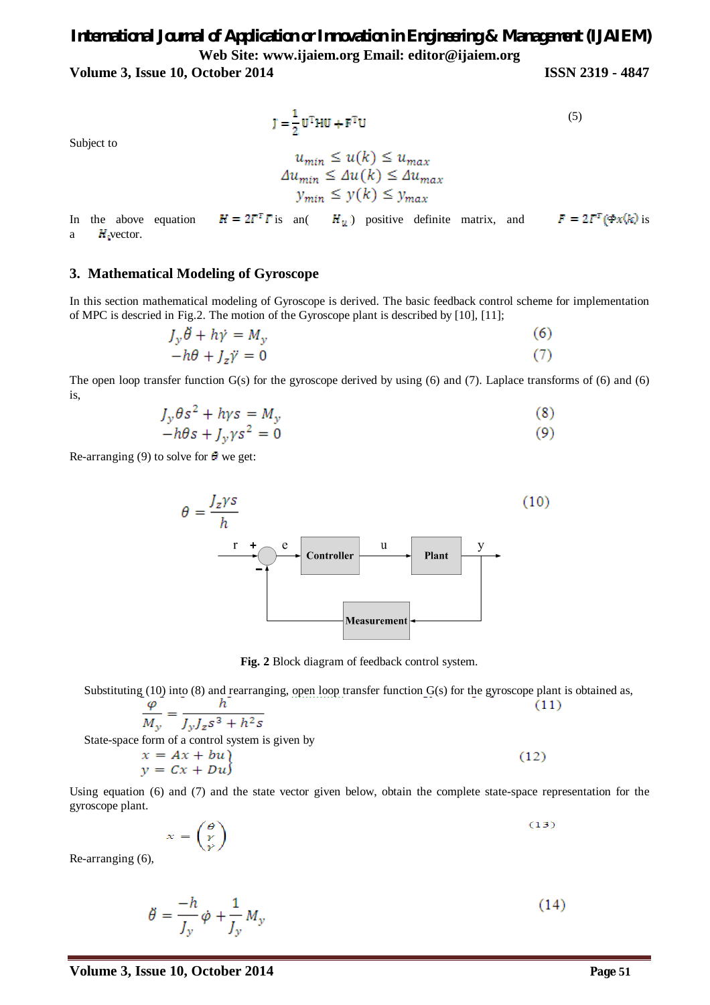**Volume 3, Issue 10, October 2014 ISSN 2319 - 4847**

$$
\mathbf{J} = \frac{1}{2} \mathbf{U}^{\mathrm{T}} \mathbf{H} \mathbf{U} + \mathbf{F}^{\mathrm{T}} \mathbf{U} \tag{5}
$$

Subject to

$$
u_{min} \le u(k) \le u_{max}
$$
  
\n
$$
\Delta u_{min} \le \Delta u(k) \le \Delta u_{max}
$$
  
\n
$$
y_{min} \le y(k) \le y_{max}
$$

In the above equation  $H = 2T^T \Gamma$  is an(  $H_y$ ) positive definite matrix, and  $F = 2T^T (\Phi x / k)$  is a  $H<sub>x</sub>$  vector.

#### **3. Mathematical Modeling of Gyroscope**

In this section mathematical modeling of Gyroscope is derived. The basic feedback control scheme for implementation of MPC is descried in Fig.2. The motion of the Gyroscope plant is described by [10], [11];

$$
J_y \ddot{\theta} + h \dot{\gamma} = M_y
$$
  
-h\theta + J\_z \ddot{\gamma} = 0 (7)

The open loop transfer function  $G(s)$  for the gyroscope derived by using (6) and (7). Laplace transforms of (6) and (6) is,

$$
J_y \theta s^2 + hys = M_y
$$
  
-h\theta s + J\_y \gamma s^2 = 0 (8)

Re-arranging (9) to solve for  $\theta$  we get:



**Fig. 2** Block diagram of feedback control system.

Substituting  $(10)$  into  $(8)$  and rearranging, open loop transfer function  $G(s)$  for the gyroscope plant is obtained as,  $\boldsymbol{h}$  $\varphi$  $(11)$ 

$$
\frac{M_y}{M_y} = \frac{1}{J_y J_z s^3 + h^2 s}
$$
  
State-space form of a control system is given by

$$
\begin{aligned}\nx &= Ax + bu \\
y &= Cx + Du\n\end{aligned}
$$
\n(12)

Using equation (6) and (7) and the state vector given below, obtain the complete state-space representation for the gyroscope plant.

$$
x = \begin{pmatrix} \theta \\ \gamma \\ \gamma \end{pmatrix} \tag{13}
$$

Re-arranging (6),

$$
\ddot{\theta} = \frac{-h}{J_y} \dot{\phi} + \frac{1}{J_y} M_y \tag{14}
$$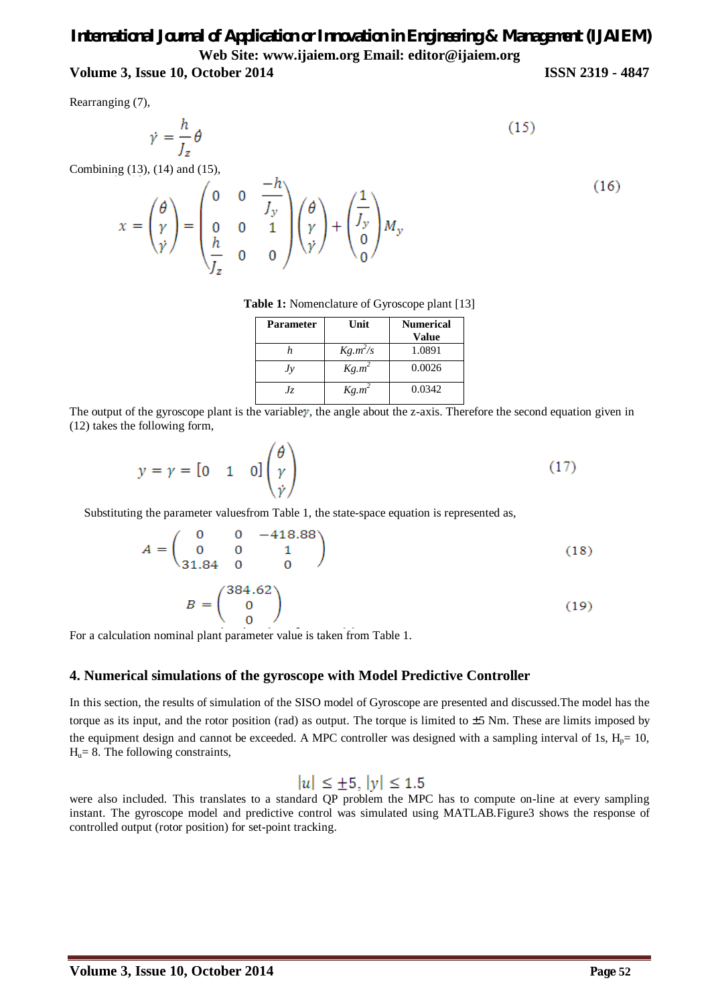# *International Journal of Application or Innovation in Engineering & Management (IJAIEM)* **Web Site: www.ijaiem.org Email: editor@ijaiem.org**

# **Volume 3, Issue 10, October 2014 ISSN 2319 - 4847**

Rearranging (7),

$$
\dot{\gamma} = \frac{h}{J_z} \theta \tag{15}
$$

Combining (13), (14) and (15),

$$
x = \begin{pmatrix} \theta \\ \gamma \\ \dot{\gamma} \end{pmatrix} = \begin{pmatrix} 0 & 0 & \frac{-h}{J_y} \\ 0 & 0 & 1 \\ \frac{h}{J_z} & 0 & 0 \end{pmatrix} \begin{pmatrix} \theta \\ \gamma \\ \dot{\gamma} \end{pmatrix} + \begin{pmatrix} \frac{1}{J_y} \\ 0 \\ 0 \end{pmatrix} M_y \tag{16}
$$

**Table 1:** Nomenclature of Gyroscope plant [13]

| <b>Parameter</b> | Unit       | <b>Numerical</b><br>Value |
|------------------|------------|---------------------------|
|                  | $Kg.m^2/s$ | 1.0891                    |
| Jv               | $Kg.m^2$   | 0.0026                    |
| Jz.              | $Kg.m^2$   | 0.0342                    |

The output of the gyroscope plant is the variable  $\gamma$ , the angle about the z-axis. Therefore the second equation given in (12) takes the following form,

$$
y = \gamma = \begin{bmatrix} 0 & 1 & 0 \end{bmatrix} \begin{pmatrix} \theta \\ \gamma \\ \dot{\gamma} \end{pmatrix}
$$
 (17)

Substituting the parameter valuesfrom Table 1, the state-space equation is represented as,

$$
A = \begin{pmatrix} 0 & 0 & -418.88 \\ 0 & 0 & 1 \\ 31.84 & 0 & 0 \end{pmatrix}
$$
 (18)

$$
B = \begin{pmatrix} 384.62 \\ 0 \\ 0 \end{pmatrix} \tag{19}
$$

For a calculation nominal plant parameter value is taken from Table 1.

### **4. Numerical simulations of the gyroscope with Model Predictive Controller**

In this section, the results of simulation of the SISO model of Gyroscope are presented and discussed.The model has the torque as its input, and the rotor position (rad) as output. The torque is limited to ±5 Nm. These are limits imposed by the equipment design and cannot be exceeded. A MPC controller was designed with a sampling interval of 1s,  $H_p= 10$ ,  $H<sub>u</sub> = 8$ . The following constraints,

# $|u| \le \pm 5, |y| \le 1.5$

were also included. This translates to a standard QP problem the MPC has to compute on-line at every sampling instant. The gyroscope model and predictive control was simulated using MATLAB*.*Figure3 shows the response of controlled output (rotor position) for set-point tracking.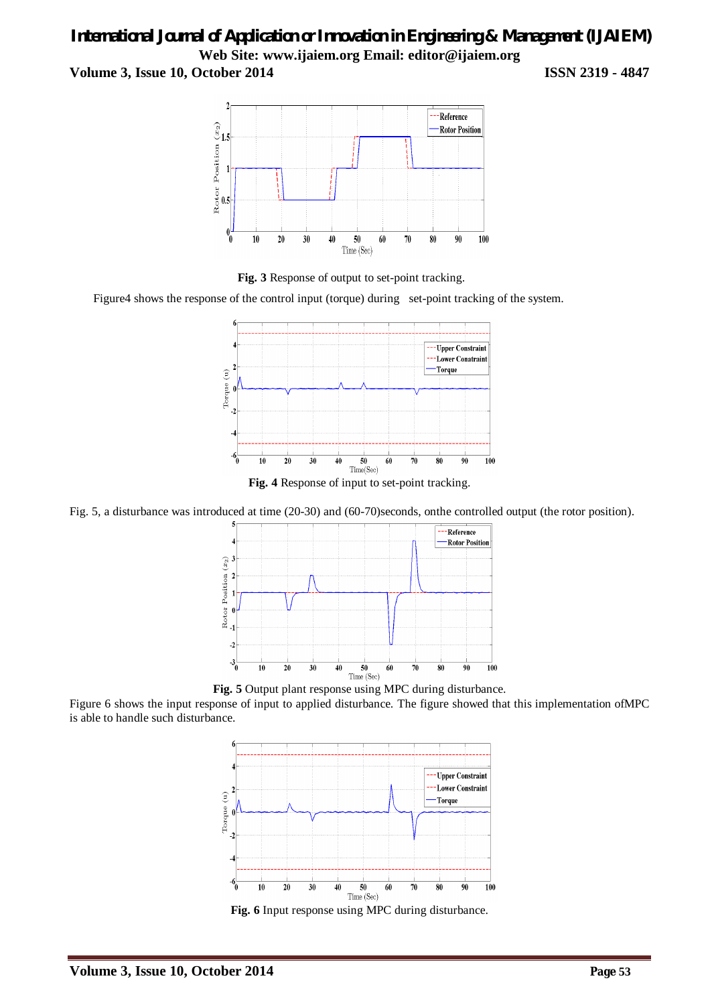# *International Journal of Application or Innovation in Engineering & Management (IJAIEM)* **Web Site: www.ijaiem.org Email: editor@ijaiem.org**

**Volume 3, Issue 10, October 2014 ISSN 2319 - 4847**





Figure4 shows the response of the control input (torque) during set-point tracking of the system.



Fig. 5, a disturbance was introduced at time (20-30) and (60-70)seconds, onthe controlled output (the rotor position).



**Fig. 5** Output plant response using MPC during disturbance.

Figure 6 shows the input response of input to applied disturbance. The figure showed that this implementation ofMPC is able to handle such disturbance.



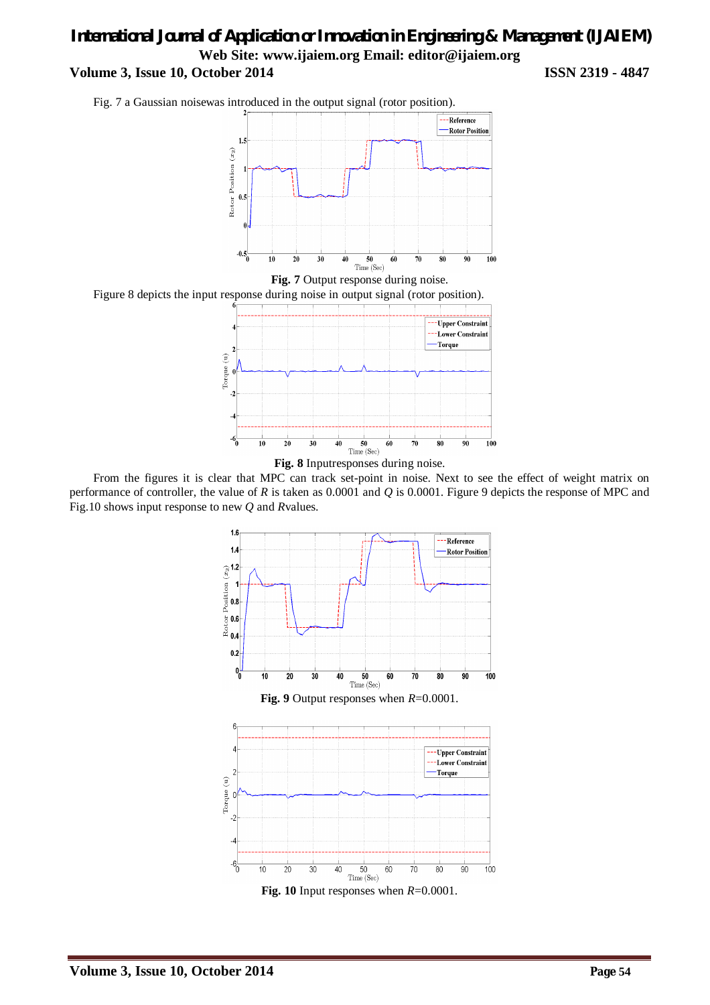Fig. 7 a Gaussian noisewas introduced in the output signal (rotor position).



**Fig. 7** Output response during noise.







From the figures it is clear that MPC can track set-point in noise. Next to see the effect of weight matrix on performance of controller, the value of *R* is taken as 0.0001 and *Q* is 0.0001. Figure 9 depicts the response of MPC and Fig.10 shows input response to new *Q* and *R*values.